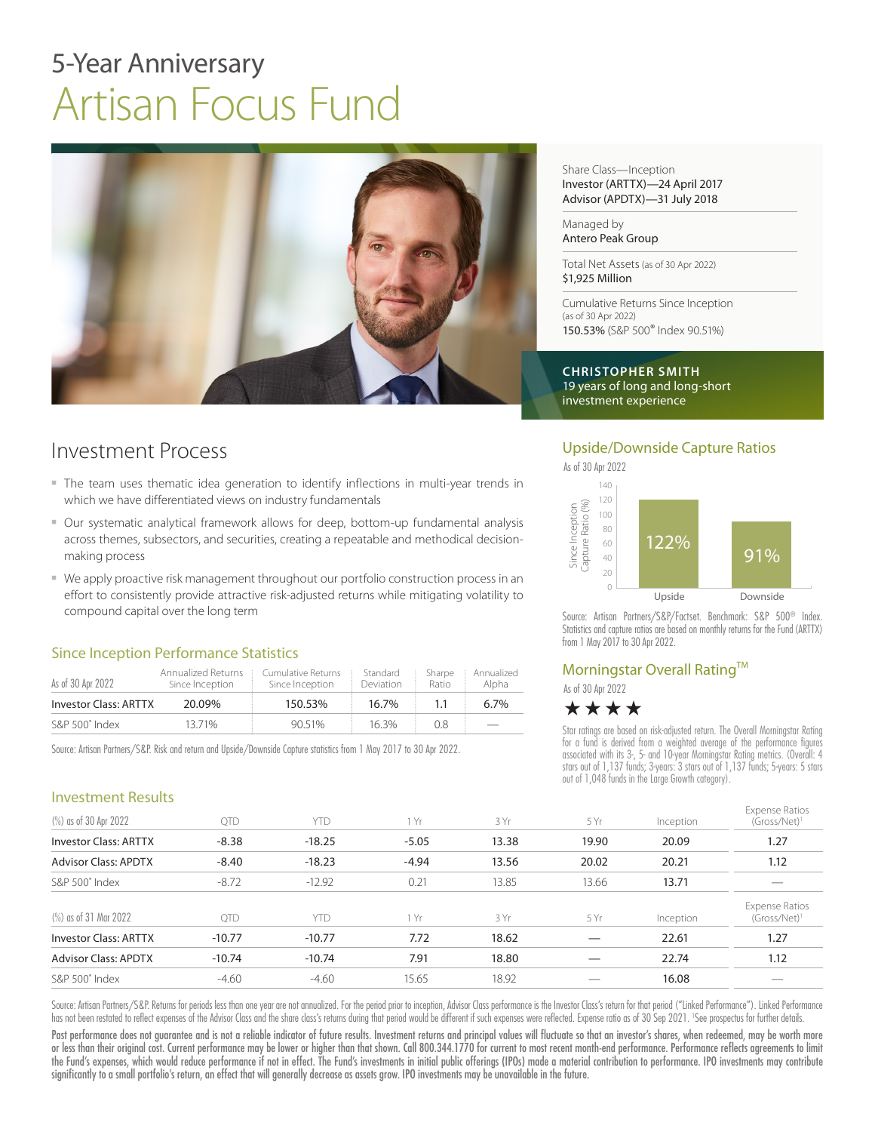# 5-Year Anniversary Artisan Focus Fund



## Investment Process

- The team uses thematic idea generation to identify inflections in multi-year trends in which we have differentiated views on industry fundamentals
- Our systematic analytical framework allows for deep, bottom-up fundamental analysis across themes, subsectors, and securities, creating a repeatable and methodical decisionmaking process
- We apply proactive risk management throughout our portfolio construction process in an effort to consistently provide attractive risk-adjusted returns while mitigating volatility to compound capital over the long term

### Since Inception Performance Statistics

| As of 30 Apr 2022     | Annualized Returns<br>Since Inception | Cumulative Returns<br>Since Inception | Standard<br><b>Deviation</b> | Sharpe<br>Ratio | Annualized<br>Alpha |
|-----------------------|---------------------------------------|---------------------------------------|------------------------------|-----------------|---------------------|
| Investor Class: ARTTX | 20.09%                                | 150.53%                               | $16.7\%$                     |                 | $6.7\%$             |
| S&P 500° Index        | 1371%                                 | 90.51%                                | 163%                         | 08              |                     |

Source: Artisan Partners/S&P. Risk and return and Upside/Downside Capture statistics from 1 May 2017 to 30 Apr 2022.

Share Class—Inception Investor (ARTTX)—24 April 2017 Advisor (APDTX)—31 July 2018

Managed by Antero Peak Group

Total Net Assets (as of 30 Apr 2022) \$1,925 Million

Cumulative Returns Since Inception (as of 30 Apr 2022) 150.53% (S&P 500® Index 90.51%)

**CHRISTOPHER SMITH** 19 years of long and long-short investment experience

### Upside/Downside Capture Ratios



Source: Artisan Partners/S&P/Factset. Benchmark: S&P 500® Index. Statistics and capture ratios are based on monthly returns for the Fund (ARTTX) from 1 May 2017 to 30 Apr 2022.

### Morningstar Overall Rating™

As of 30 Apr 2022



Star ratings are based on risk-adjusted return. The Overall Morningstar Rating for a fund is derived from a weighted average of the performance figures associated with its 3-, 5- and 10-year Morningstar Rating metrics. (Overall: 4 stars out of 1,137 funds; 3-years: 3 stars out of 1,137 funds; 5-years: 5 stars out of 1,048 funds in the Large Growth category).

| <b>Investment Results</b>    |            |            |         |       |       |           |                                                   |
|------------------------------|------------|------------|---------|-------|-------|-----------|---------------------------------------------------|
| (%) as of 30 Apr 2022        | <b>OTD</b> | <b>YTD</b> | 1 Yr    | 3 Yr  | 5 Yr  | Inception | <b>Expense Ratios</b><br>$(Gross/Net)^1$          |
| <b>Investor Class: ARTTX</b> | $-8.38$    | $-18.25$   | $-5.05$ | 13.38 | 19.90 | 20.09     | 1.27                                              |
| <b>Advisor Class: APDTX</b>  | $-8.40$    | $-18.23$   | $-4.94$ | 13.56 | 20.02 | 20.21     | 1.12                                              |
| S&P 500° Index               | $-8.72$    | $-12.92$   | 0.21    | 13.85 | 13.66 | 13.71     |                                                   |
| (%) as of 31 Mar 2022        | QTD        | <b>YTD</b> | 1 Yr    | 3 Yr  | 5 Yr  | Inception | <b>Expense Ratios</b><br>(Gross/Net) <sup>1</sup> |
| <b>Investor Class: ARTTX</b> | $-10.77$   | $-10.77$   | 7.72    | 18.62 |       | 22.61     | 1.27                                              |
| <b>Advisor Class: APDTX</b>  | $-10.74$   | $-10.74$   | 7.91    | 18.80 |       | 22.74     | 1.12                                              |
| S&P 500° Index               | $-4.60$    | $-4.60$    | 15.65   | 18.92 |       | 16.08     |                                                   |

Source: Artisan Partners/S&P. Returns for periods less than one year are not annualized. For the period prior to inception, Advisor Class performance is the Investor Class's return for that period ("Linked Performance"). L has not been restated to reflect expenses of the Advisor Class and the share class's returns during that period would be different if such expenses were reflected. Expense ratio as of 30 Sep 2021. 'See prospectus for furth

Past performance does not guarantee and is not a reliable indicator of future results. Investment returns and principal values will fluctuate so that an investor's shares, when redeemed, may be worth more or less than their original cost. Current performance may be lower or higher than that shown. Call 800.344.1770 for current to most recent month-end performance. Performance reflects agreements to limit the Fund's expenses, which would reduce performance if not in effect. The Fund's investments in initial public offerings (IPOs) made a material contribution to performance. IPO investments may contribute significantly to a small portfolio's return, an effect that will generally decrease as assets grow. IPO investments may be unavailable in the future.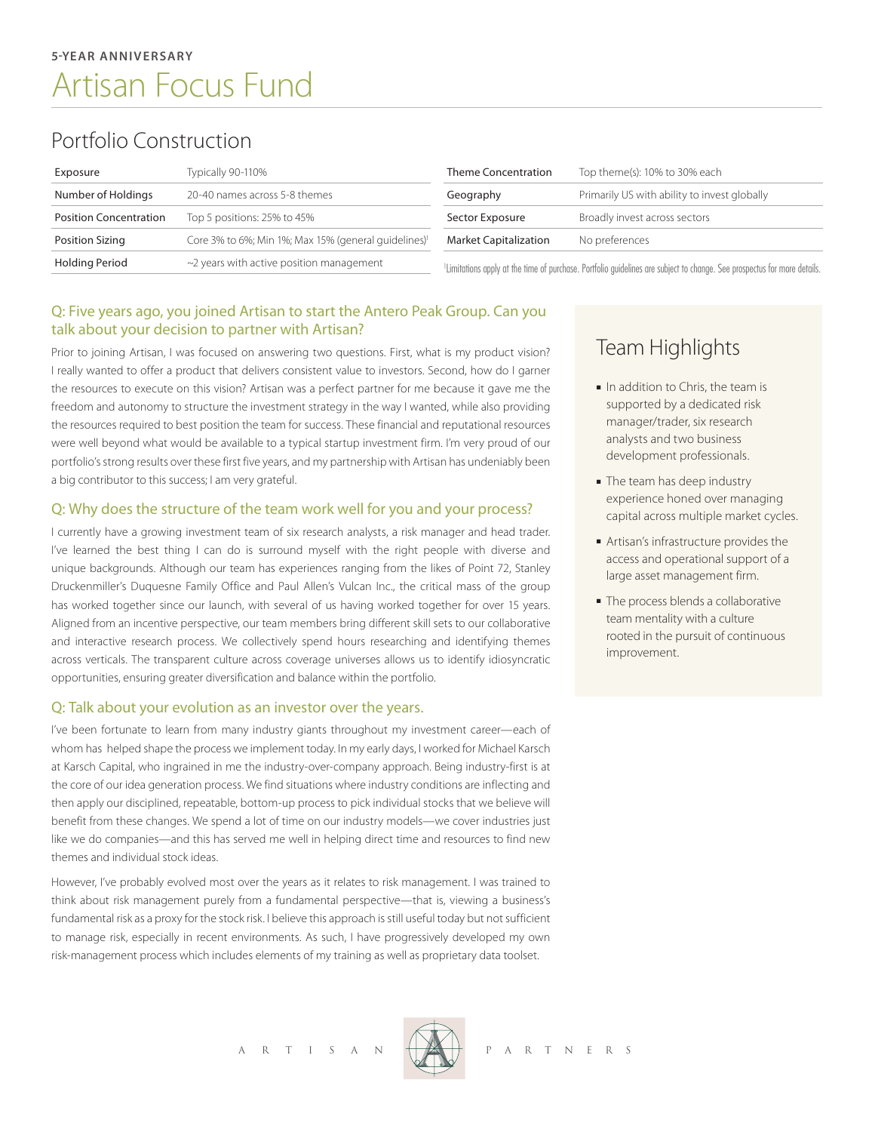## Portfolio Construction

| Exposure                      | Typically 90-110%                                                | <b>Theme Concentration</b>                                                                                                           | Top theme(s): 10% to 30% each                |
|-------------------------------|------------------------------------------------------------------|--------------------------------------------------------------------------------------------------------------------------------------|----------------------------------------------|
| Number of Holdings            | 20-40 names across 5-8 themes                                    | Geography                                                                                                                            | Primarily US with ability to invest globally |
| <b>Position Concentration</b> | Top 5 positions: 25% to 45%                                      | Sector Exposure                                                                                                                      | Broadly invest across sectors                |
| Position Sizing               | Core 3% to 6%; Min 1%; Max 15% (general quidelines) <sup>1</sup> | <b>Market Capitalization</b>                                                                                                         | No preferences                               |
| Holding Period                | $\sim$ 2 years with active position management                   | <sup>1</sup> Limitations apply at the time of purchase. Portfolio guidelines are subject to change. See prospectus for more details. |                                              |

### Q: Five years ago, you joined Artisan to start the Antero Peak Group. Can you talk about your decision to partner with Artisan?

Prior to joining Artisan, I was focused on answering two questions. First, what is my product vision? I really wanted to offer a product that delivers consistent value to investors. Second, how do I garner the resources to execute on this vision? Artisan was a perfect partner for me because it gave me the freedom and autonomy to structure the investment strategy in the way I wanted, while also providing the resources required to best position the team for success. These financial and reputational resources were well beyond what would be available to a typical startup investment firm. I'm very proud of our portfolio's strong results over these first five years, and my partnership with Artisan has undeniably been a big contributor to this success; I am very grateful.

### Q: Why does the structure of the team work well for you and your process?

I currently have a growing investment team of six research analysts, a risk manager and head trader. I've learned the best thing I can do is surround myself with the right people with diverse and unique backgrounds. Although our team has experiences ranging from the likes of Point 72, Stanley Druckenmiller's Duquesne Family Office and Paul Allen's Vulcan Inc., the critical mass of the group has worked together since our launch, with several of us having worked together for over 15 years. Aligned from an incentive perspective, our team members bring different skill sets to our collaborative and interactive research process. We collectively spend hours researching and identifying themes across verticals. The transparent culture across coverage universes allows us to identify idiosyncratic opportunities, ensuring greater diversification and balance within the portfolio.

### Q: Talk about your evolution as an investor over the years.

I've been fortunate to learn from many industry giants throughout my investment career—each of whom has helped shape the process we implement today. In my early days, I worked for Michael Karsch at Karsch Capital, who ingrained in me the industry-over-company approach. Being industry-first is at the core of our idea generation process. We find situations where industry conditions are inflecting and then apply our disciplined, repeatable, bottom-up process to pick individual stocks that we believe will benefit from these changes. We spend a lot of time on our industry models—we cover industries just like we do companies—and this has served me well in helping direct time and resources to find new themes and individual stock ideas.

However, I've probably evolved most over the years as it relates to risk management. I was trained to think about risk management purely from a fundamental perspective—that is, viewing a business's fundamental risk as a proxy for the stock risk. I believe this approach is still useful today but not sufficient to manage risk, especially in recent environments. As such, I have progressively developed my own risk-management process which includes elements of my training as well as proprietary data toolset.

Team Highlights

- In addition to Chris, the team is supported by a dedicated risk manager/trader, six research analysts and two business development professionals.
- The team has deep industry experience honed over managing capital across multiple market cycles.
- <sup>n</sup> Artisan's infrastructure provides the access and operational support of a large asset management firm.
- The process blends a collaborative team mentality with a culture rooted in the pursuit of continuous improvement.